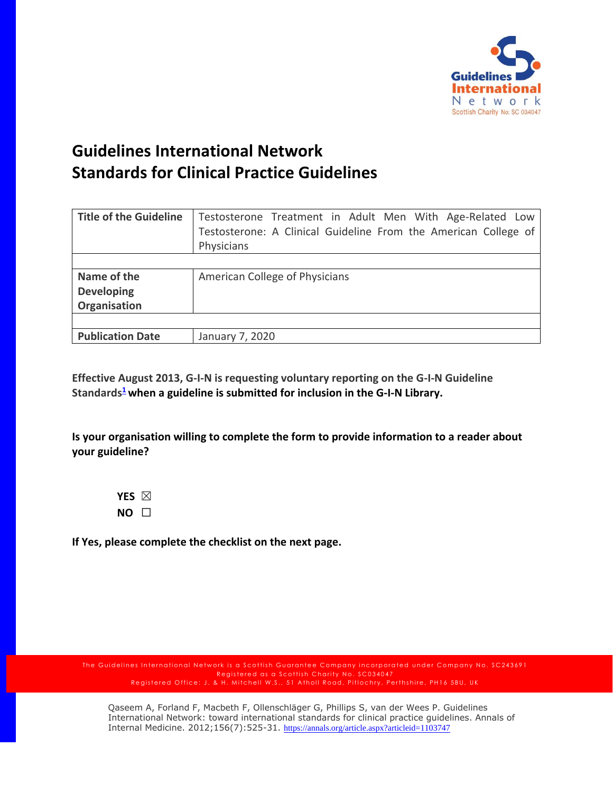

## **Guidelines International Network Standards for Clinical Practice Guidelines**

| <b>Title of the Guideline</b> | Testosterone Treatment in Adult Men With Age-Related Low<br>Testosterone: A Clinical Guideline From the American College of |
|-------------------------------|-----------------------------------------------------------------------------------------------------------------------------|
|                               |                                                                                                                             |
|                               | Physicians                                                                                                                  |
|                               |                                                                                                                             |
| Name of the                   | American College of Physicians                                                                                              |
| <b>Developing</b>             |                                                                                                                             |
| Organisation                  |                                                                                                                             |
|                               |                                                                                                                             |
| <b>Publication Date</b>       | January 7, 2020                                                                                                             |

**Effective August 2013, G-I-N is requesting voluntary reporting on the G-I-N Guideline Standards[1](http://www.guideline.gov/about/inclusion-criteria.aspx#ref) when a guideline is submitted for inclusion in the G-I-N Library.** 

**Is your organisation willing to complete the form to provide information to a reader about your guideline?**

**YES** ☒ **NO** ☐

**If Yes, please complete the checklist on the next page.**

The Guidelines International Network is a Scottish Guarantee Company incorporated under Company No. SC243691 Registered as a Scottish Charity No. SC034047 Registered Office: J. & H. Mitchell W.S., 51 Atholl Road, Pitlochry, Perthshire, PH16 5BU, UK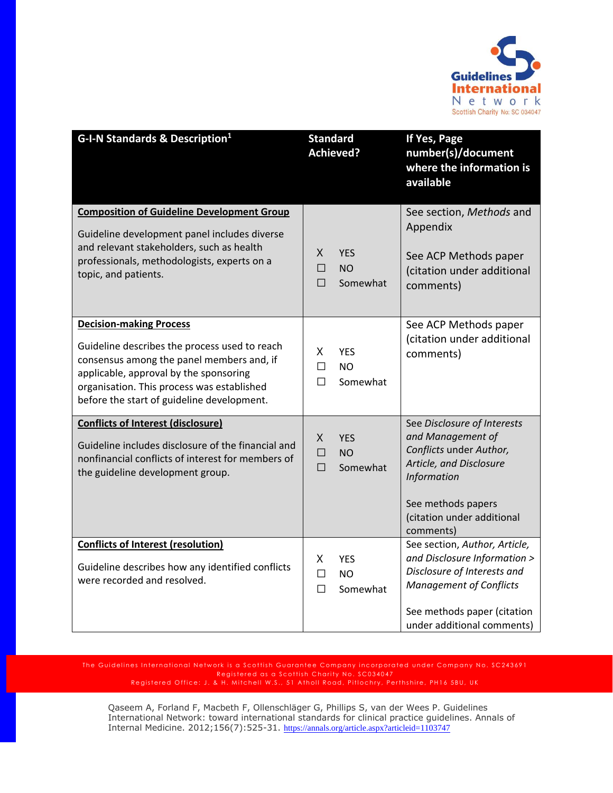

| G-I-N Standards & Description <sup>1</sup>                                                                                                                                                                                                                         | <b>Standard</b><br><b>Achieved?</b>                      | If Yes, Page<br>number(s)/document<br>where the information is<br>available                                                                                                                 |
|--------------------------------------------------------------------------------------------------------------------------------------------------------------------------------------------------------------------------------------------------------------------|----------------------------------------------------------|---------------------------------------------------------------------------------------------------------------------------------------------------------------------------------------------|
| <b>Composition of Guideline Development Group</b><br>Guideline development panel includes diverse<br>and relevant stakeholders, such as health<br>professionals, methodologists, experts on a<br>topic, and patients.                                              | X<br><b>YES</b><br>$\Box$<br><b>NO</b><br>П<br>Somewhat  | See section, Methods and<br>Appendix<br>See ACP Methods paper<br>(citation under additional<br>comments)                                                                                    |
| <b>Decision-making Process</b><br>Guideline describes the process used to reach<br>consensus among the panel members and, if<br>applicable, approval by the sponsoring<br>organisation. This process was established<br>before the start of guideline development. | X.<br><b>YES</b><br><b>NO</b><br>П<br>Somewhat<br>П      | See ACP Methods paper<br>(citation under additional<br>comments)                                                                                                                            |
| <b>Conflicts of Interest (disclosure)</b><br>Guideline includes disclosure of the financial and<br>nonfinancial conflicts of interest for members of<br>the guideline development group.                                                                           | X.<br><b>YES</b><br>$\Box$<br><b>NO</b><br>П<br>Somewhat | See Disclosure of Interests<br>and Management of<br>Conflicts under Author,<br>Article, and Disclosure<br>Information<br>See methods papers<br>(citation under additional<br>comments)      |
| <b>Conflicts of Interest (resolution)</b><br>Guideline describes how any identified conflicts<br>were recorded and resolved.                                                                                                                                       | X<br><b>YES</b><br>П<br><b>NO</b><br>$\Box$<br>Somewhat  | See section, Author, Article,<br>and Disclosure Information ><br>Disclosure of Interests and<br><b>Management of Conflicts</b><br>See methods paper (citation<br>under additional comments) |

The Guidelines International Network is a Scottish Guarantee Company incorporated under Company No. SC243691 Registered as a Scottish Charity No. SC034047 Registered Office: J. & H. Mitchell W.S., 51 Atholl Road, Pitlochry, Perthshire, PH16 5BU, UK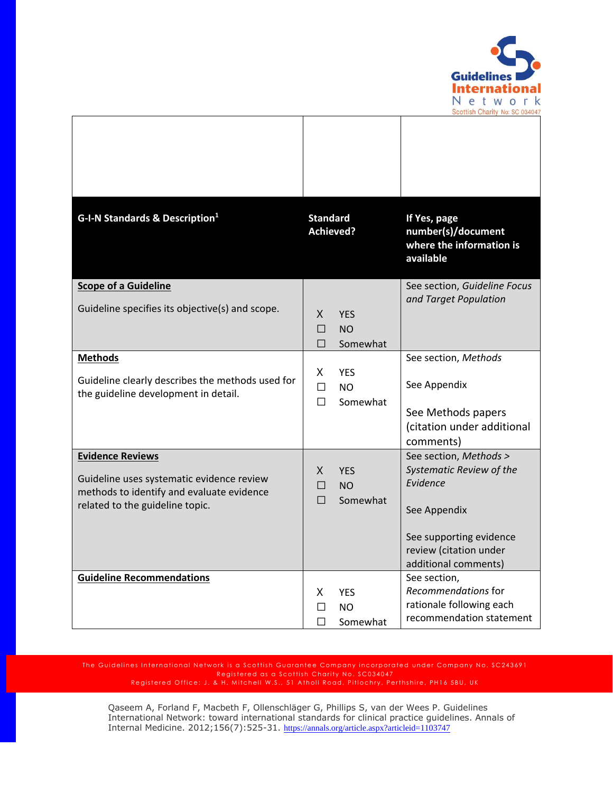

| G-I-N Standards & Description <sup>1</sup>                                                                                                           | <b>Standard</b><br><b>Achieved?</b>                           | If Yes, page<br>number(s)/document                                                                                                                          |
|------------------------------------------------------------------------------------------------------------------------------------------------------|---------------------------------------------------------------|-------------------------------------------------------------------------------------------------------------------------------------------------------------|
|                                                                                                                                                      |                                                               | where the information is<br>available                                                                                                                       |
| <b>Scope of a Guideline</b><br>Guideline specifies its objective(s) and scope.                                                                       | X.<br><b>YES</b><br>П<br><b>NO</b><br>П<br>Somewhat           | See section, Guideline Focus<br>and Target Population                                                                                                       |
| <b>Methods</b><br>Guideline clearly describes the methods used for<br>the guideline development in detail.                                           | X.<br><b>YES</b><br>П<br>N <sub>O</sub><br>$\Box$<br>Somewhat | See section, Methods<br>See Appendix<br>See Methods papers<br>(citation under additional<br>comments)                                                       |
| <b>Evidence Reviews</b><br>Guideline uses systematic evidence review<br>methods to identify and evaluate evidence<br>related to the guideline topic. | X.<br><b>YES</b><br><b>NO</b><br>П<br>П<br>Somewhat           | See section, Methods ><br>Systematic Review of the<br>Evidence<br>See Appendix<br>See supporting evidence<br>review (citation under<br>additional comments) |
| <b>Guideline Recommendations</b>                                                                                                                     | X.<br><b>YES</b><br>N <sub>O</sub><br>П<br>Somewhat<br>П      | See section,<br>Recommendations for<br>rationale following each<br>recommendation statement                                                                 |

The Guidelines International Network is a Scottish Guarantee Company incorporated under Company No. SC243691 Registered as a Scottish Charity No. SC034047 Registered Office: J. & H. Mitchell W.S., 51 Atholl Road, Pitlochry, Perthshire, PH16 5BU, UK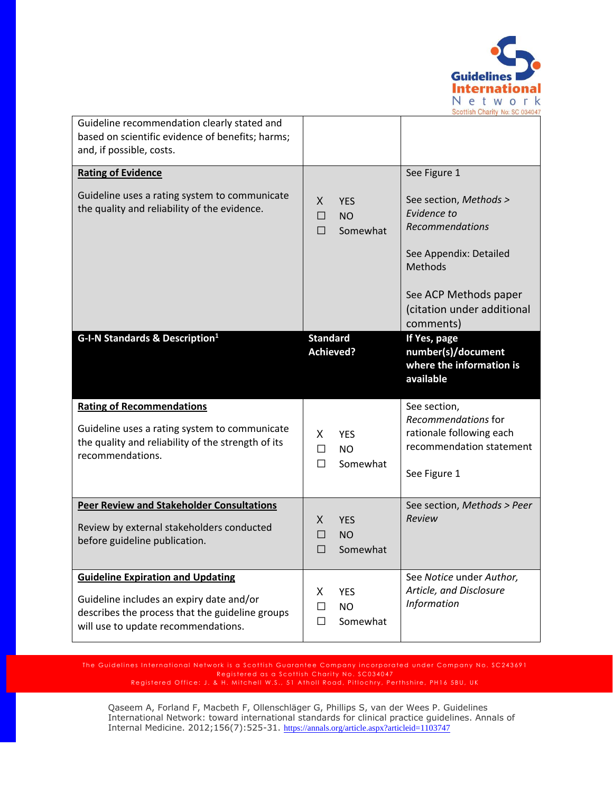

| Guideline recommendation clearly stated and<br>based on scientific evidence of benefits; harms;<br>and, if possible, costs.                                                    |                                                              |                                                                                                                                                                          |
|--------------------------------------------------------------------------------------------------------------------------------------------------------------------------------|--------------------------------------------------------------|--------------------------------------------------------------------------------------------------------------------------------------------------------------------------|
| <b>Rating of Evidence</b>                                                                                                                                                      |                                                              | See Figure 1                                                                                                                                                             |
| Guideline uses a rating system to communicate<br>the quality and reliability of the evidence.                                                                                  | X<br><b>YES</b><br>П<br><b>NO</b><br>П<br>Somewhat           | See section, Methods ><br>Evidence to<br>Recommendations<br>See Appendix: Detailed<br><b>Methods</b><br>See ACP Methods paper<br>(citation under additional<br>comments) |
| G-I-N Standards & Description <sup>1</sup>                                                                                                                                     | <b>Standard</b><br><b>Achieved?</b>                          | If Yes, page<br>number(s)/document<br>where the information is<br>available                                                                                              |
| <b>Rating of Recommendations</b><br>Guideline uses a rating system to communicate<br>the quality and reliability of the strength of its<br>recommendations.                    | X<br><b>YES</b><br>П<br><b>NO</b><br>Somewhat<br>П           | See section,<br>Recommendations for<br>rationale following each<br>recommendation statement<br>See Figure 1                                                              |
| <b>Peer Review and Stakeholder Consultations</b><br>Review by external stakeholders conducted<br>before guideline publication.                                                 | X.<br><b>YES</b><br>П<br><b>NO</b><br>Somewhat<br>□          | See section, Methods > Peer<br>Review                                                                                                                                    |
| <b>Guideline Expiration and Updating</b><br>Guideline includes an expiry date and/or<br>describes the process that the guideline groups<br>will use to update recommendations. | X<br><b>YES</b><br>$\Box$<br><b>NO</b><br>$\Box$<br>Somewhat | See Notice under Author,<br>Article, and Disclosure<br>Information                                                                                                       |

The Guidelines International Network is a Scottish Guarantee Company incorporated under Company No. SC243691 Registered as a Scottish Charity No. SC034047 Registered Office: J. & H. Mitchell W.S., 51 Atholl Road, Pitlochry, Perthshire, PH16 5BU, UK